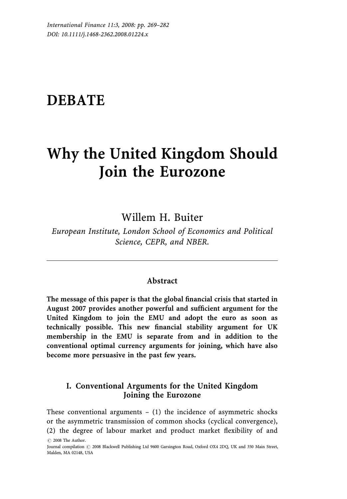## DEBATE

# Why the United Kingdom Should Join the Eurozone

Willem H. Buiter

European Institute, London School of Economics and Political Science, CEPR, and NBER.

### Abstract

The message of this paper is that the global financial crisis that started in August 2007 provides another powerful and sufficient argument for the United Kingdom to join the EMU and adopt the euro as soon as technically possible. This new financial stability argument for UK membership in the EMU is separate from and in addition to the conventional optimal currency arguments for joining, which have also become more persuasive in the past few years.

## I. Conventional Arguments for the United Kingdom Joining the Eurozone

These conventional arguments – (1) the incidence of asymmetric shocks or the asymmetric transmission of common shocks (cyclical convergence), (2) the degree of labour market and product market flexibility of and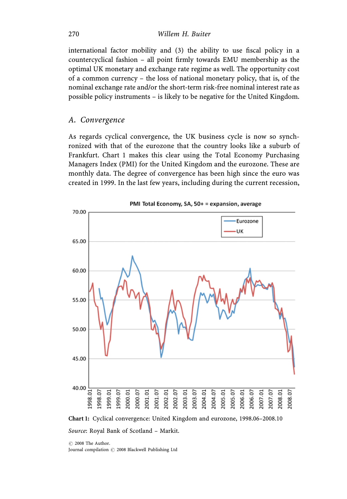international factor mobility and (3) the ability to use fiscal policy in a countercyclical fashion – all point firmly towards EMU membership as the optimal UK monetary and exchange rate regime as well. The opportunity cost of a common currency – the loss of national monetary policy, that is, of the nominal exchange rate and/or the short-term risk-free nominal interest rate as possible policy instruments – is likely to be negative for the United Kingdom.

#### A. Convergence

As regards cyclical convergence, the UK business cycle is now so synchronized with that of the eurozone that the country looks like a suburb of Frankfurt. Chart 1 makes this clear using the Total Economy Purchasing Managers Index (PMI) for the United Kingdom and the eurozone. These are monthly data. The degree of convergence has been high since the euro was created in 1999. In the last few years, including during the current recession,



Chart 1: Cyclical convergence: United Kingdom and eurozone, 1998.06–2008.10 Source: Royal Bank of Scotland – Markit.

 $O$  2008 The Author.

Journal compilation  $\odot$  2008 Blackwell Publishing Ltd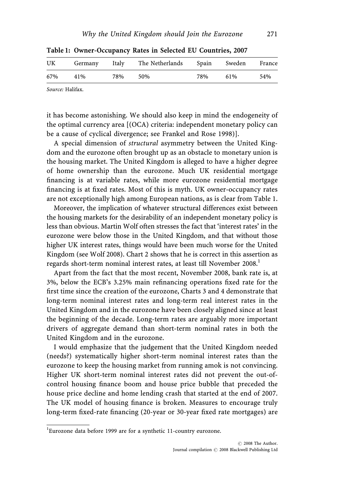| 67%<br>78%<br>50%<br>41% | 78% | 61% | 54% |
|--------------------------|-----|-----|-----|

Table 1: Owner-Occupancy Rates in Selected EU Countries, 2007

Source: Halifax.

it has become astonishing. We should also keep in mind the endogeneity of the optimal currency area [(OCA) criteria: independent monetary policy can be a cause of cyclical divergence; see Frankel and Rose 1998)].

A special dimension of structural asymmetry between the United Kingdom and the eurozone often brought up as an obstacle to monetary union is the housing market. The United Kingdom is alleged to have a higher degree of home ownership than the eurozone. Much UK residential mortgage financing is at variable rates, while more eurozone residential mortgage financing is at fixed rates. Most of this is myth. UK owner-occupancy rates are not exceptionally high among European nations, as is clear from Table 1.

Moreover, the implication of whatever structural differences exist between the housing markets for the desirability of an independent monetary policy is less than obvious. Martin Wolf often stresses the fact that 'interest rates' in the eurozone were below those in the United Kingdom, and that without those higher UK interest rates, things would have been much worse for the United Kingdom (see Wolf 2008). Chart 2 shows that he is correct in this assertion as regards short-term nominal interest rates, at least till November 2008.<sup>1</sup>

Apart from the fact that the most recent, November 2008, bank rate is, at 3%, below the ECB's 3.25% main refinancing operations fixed rate for the first time since the creation of the eurozone, Charts 3 and 4 demonstrate that long-term nominal interest rates and long-term real interest rates in the United Kingdom and in the eurozone have been closely aligned since at least the beginning of the decade. Long-term rates are arguably more important drivers of aggregate demand than short-term nominal rates in both the United Kingdom and in the eurozone.

I would emphasize that the judgement that the United Kingdom needed (needs?) systematically higher short-term nominal interest rates than the eurozone to keep the housing market from running amok is not convincing. Higher UK short-term nominal interest rates did not prevent the out-ofcontrol housing finance boom and house price bubble that preceded the house price decline and home lending crash that started at the end of 2007. The UK model of housing finance is broken. Measures to encourage truly long-term fixed-rate financing (20-year or 30-year fixed rate mortgages) are

<sup>1</sup> Eurozone data before 1999 are for a synthetic 11-country eurozone.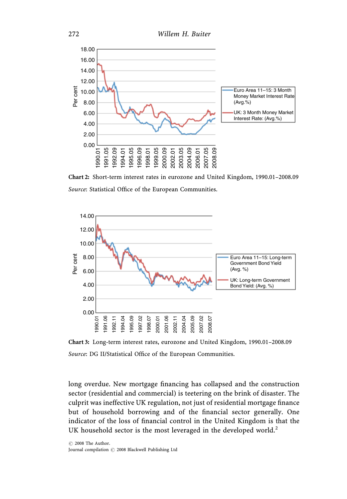

Chart 2: Short-term interest rates in eurozone and United Kingdom, 1990.01–2008.09 Source: Statistical Office of the European Communities.



Chart 3: Long-term interest rates, eurozone and United Kingdom, 1990.01–2008.09 Source: DG II/Statistical Office of the European Communities.

long overdue. New mortgage financing has collapsed and the construction sector (residential and commercial) is teetering on the brink of disaster. The culprit was ineffective UK regulation, not just of residential mortgage finance but of household borrowing and of the financial sector generally. One indicator of the loss of financial control in the United Kingdom is that the UK household sector is the most leveraged in the developed world.<sup>2</sup>

 $O$  2008 The Author. Journal compilation  $\odot$  2008 Blackwell Publishing Ltd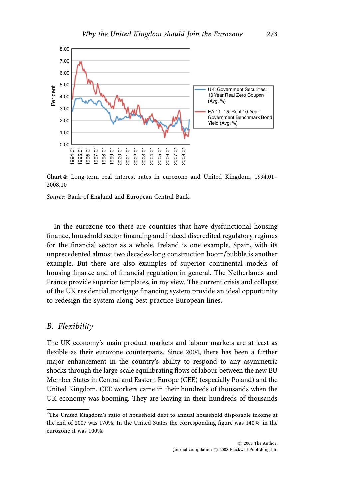

Chart 4: Long-term real interest rates in eurozone and United Kingdom, 1994.01– 2008.10

Source: Bank of England and European Central Bank.

In the eurozone too there are countries that have dysfunctional housing finance, household sector financing and indeed discredited regulatory regimes for the financial sector as a whole. Ireland is one example. Spain, with its unprecedented almost two decades-long construction boom/bubble is another example. But there are also examples of superior continental models of housing finance and of financial regulation in general. The Netherlands and France provide superior templates, in my view. The current crisis and collapse of the UK residential mortgage financing system provide an ideal opportunity to redesign the system along best-practice European lines.

#### B. Flexibility

The UK economy's main product markets and labour markets are at least as flexible as their eurozone counterparts. Since 2004, there has been a further major enhancement in the country's ability to respond to any asymmetric shocks through the large-scale equilibrating flows of labour between the new EU Member States in Central and Eastern Europe (CEE) (especially Poland) and the United Kingdom. CEE workers came in their hundreds of thousands when the UK economy was booming. They are leaving in their hundreds of thousands

<sup>&</sup>lt;sup>2</sup>The United Kingdom's ratio of household debt to annual household disposable income at the end of 2007 was 170%. In the United States the corresponding figure was 140%; in the eurozone it was 100%.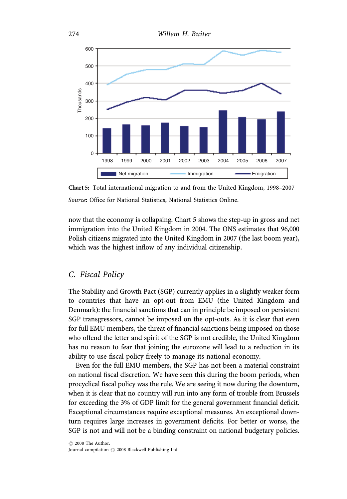274 Willem H. Buiter



Chart 5: Total international migration to and from the United Kingdom, 1998–2007 Source: Office for National Statistics, National Statistics Online.

now that the economy is collapsing. Chart 5 shows the step-up in gross and net immigration into the United Kingdom in 2004. The ONS estimates that 96,000 Polish citizens migrated into the United Kingdom in 2007 (the last boom year), which was the highest inflow of any individual citizenship.

#### C. Fiscal Policy

The Stability and Growth Pact (SGP) currently applies in a slightly weaker form to countries that have an opt-out from EMU (the United Kingdom and Denmark): the financial sanctions that can in principle be imposed on persistent SGP transgressors, cannot be imposed on the opt-outs. As it is clear that even for full EMU members, the threat of financial sanctions being imposed on those who offend the letter and spirit of the SGP is not credible, the United Kingdom has no reason to fear that joining the eurozone will lead to a reduction in its ability to use fiscal policy freely to manage its national economy.

Even for the full EMU members, the SGP has not been a material constraint on national fiscal discretion. We have seen this during the boom periods, when procyclical fiscal policy was the rule. We are seeing it now during the downturn, when it is clear that no country will run into any form of trouble from Brussels for exceeding the 3% of GDP limit for the general government financial deficit. Exceptional circumstances require exceptional measures. An exceptional downturn requires large increases in government deficits. For better or worse, the SGP is not and will not be a binding constraint on national budgetary policies.

 $O$  2008 The Author. Journal compilation  $\odot$  2008 Blackwell Publishing Ltd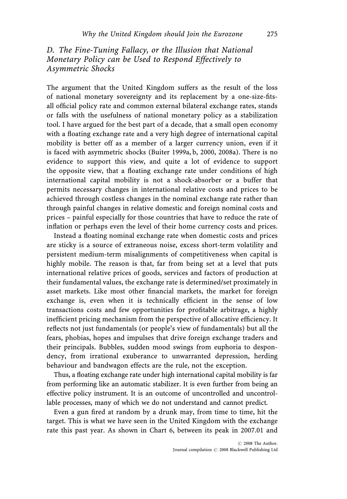D. The Fine-Tuning Fallacy, or the Illusion that National Monetary Policy can be Used to Respond Effectively to Asymmetric Shocks

The argument that the United Kingdom suffers as the result of the loss of national monetary sovereignty and its replacement by a one-size-fitsall official policy rate and common external bilateral exchange rates, stands or falls with the usefulness of national monetary policy as a stabilization tool. I have argued for the best part of a decade, that a small open economy with a floating exchange rate and a very high degree of international capital mobility is better off as a member of a larger currency union, even if it is faced with asymmetric shocks (Buiter 1999a, b, 2000, 2008a). There is no evidence to support this view, and quite a lot of evidence to support the opposite view, that a floating exchange rate under conditions of high international capital mobility is not a shock-absorber or a buffer that permits necessary changes in international relative costs and prices to be achieved through costless changes in the nominal exchange rate rather than through painful changes in relative domestic and foreign nominal costs and prices – painful especially for those countries that have to reduce the rate of inflation or perhaps even the level of their home currency costs and prices.

Instead a floating nominal exchange rate when domestic costs and prices are sticky is a source of extraneous noise, excess short-term volatility and persistent medium-term misalignments of competitiveness when capital is highly mobile. The reason is that, far from being set at a level that puts international relative prices of goods, services and factors of production at their fundamental values, the exchange rate is determined/set proximately in asset markets. Like most other financial markets, the market for foreign exchange is, even when it is technically efficient in the sense of low transactions costs and few opportunities for profitable arbitrage, a highly inefficient pricing mechanism from the perspective of allocative efficiency. It reflects not just fundamentals (or people's view of fundamentals) but all the fears, phobias, hopes and impulses that drive foreign exchange traders and their principals. Bubbles, sudden mood swings from euphoria to despondency, from irrational exuberance to unwarranted depression, herding behaviour and bandwagon effects are the rule, not the exception.

Thus, a floating exchange rate under high international capital mobility is far from performing like an automatic stabilizer. It is even further from being an effective policy instrument. It is an outcome of uncontrolled and uncontrollable processes, many of which we do not understand and cannot predict.

Even a gun fired at random by a drunk may, from time to time, hit the target. This is what we have seen in the United Kingdom with the exchange rate this past year. As shown in Chart 6, between its peak in 2007.01 and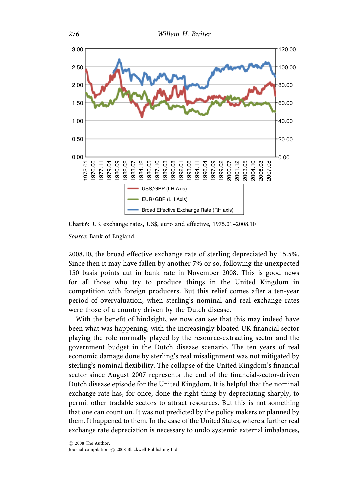

Chart 6: UK exchange rates, US\$, euro and effective, 1975.01–2008.10 Source: Bank of England.

2008.10, the broad effective exchange rate of sterling depreciated by 15.5%. Since then it may have fallen by another 7% or so, following the unexpected 150 basis points cut in bank rate in November 2008. This is good news for all those who try to produce things in the United Kingdom in competition with foreign producers. But this relief comes after a ten-year period of overvaluation, when sterling's nominal and real exchange rates were those of a country driven by the Dutch disease.

With the benefit of hindsight, we now can see that this may indeed have been what was happening, with the increasingly bloated UK financial sector playing the role normally played by the resource-extracting sector and the government budget in the Dutch disease scenario. The ten years of real economic damage done by sterling's real misalignment was not mitigated by sterling's nominal flexibility. The collapse of the United Kingdom's financial sector since August 2007 represents the end of the financial-sector-driven Dutch disease episode for the United Kingdom. It is helpful that the nominal exchange rate has, for once, done the right thing by depreciating sharply, to permit other tradable sectors to attract resources. But this is not something that one can count on. It was not predicted by the policy makers or planned by them. It happened to them. In the case of the United States, where a further real exchange rate depreciation is necessary to undo systemic external imbalances,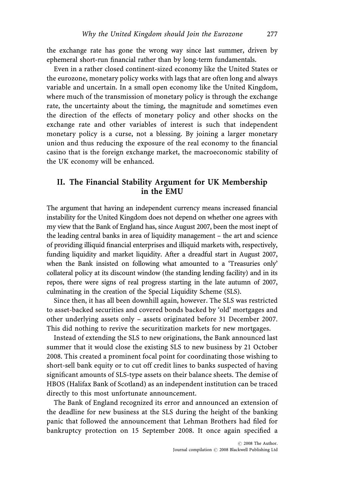the exchange rate has gone the wrong way since last summer, driven by ephemeral short-run financial rather than by long-term fundamentals.

Even in a rather closed continent-sized economy like the United States or the eurozone, monetary policy works with lags that are often long and always variable and uncertain. In a small open economy like the United Kingdom, where much of the transmission of monetary policy is through the exchange rate, the uncertainty about the timing, the magnitude and sometimes even the direction of the effects of monetary policy and other shocks on the exchange rate and other variables of interest is such that independent monetary policy is a curse, not a blessing. By joining a larger monetary union and thus reducing the exposure of the real economy to the financial casino that is the foreign exchange market, the macroeconomic stability of the UK economy will be enhanced.

## II. The Financial Stability Argument for UK Membership in the EMU

The argument that having an independent currency means increased financial instability for the United Kingdom does not depend on whether one agrees with my view that the Bank of England has, since August 2007, been the most inept of the leading central banks in area of liquidity management – the art and science of providing illiquid financial enterprises and illiquid markets with, respectively, funding liquidity and market liquidity. After a dreadful start in August 2007, when the Bank insisted on following what amounted to a 'Treasuries only' collateral policy at its discount window (the standing lending facility) and in its repos, there were signs of real progress starting in the late autumn of 2007, culminating in the creation of the Special Liquidity Scheme (SLS).

Since then, it has all been downhill again, however. The SLS was restricted to asset-backed securities and covered bonds backed by 'old' mortgages and other underlying assets only – assets originated before 31 December 2007. This did nothing to revive the securitization markets for new mortgages.

Instead of extending the SLS to new originations, the Bank announced last summer that it would close the existing SLS to new business by 21 October 2008. This created a prominent focal point for coordinating those wishing to short-sell bank equity or to cut off credit lines to banks suspected of having significant amounts of SLS-type assets on their balance sheets. The demise of HBOS (Halifax Bank of Scotland) as an independent institution can be traced directly to this most unfortunate announcement.

The Bank of England recognized its error and announced an extension of the deadline for new business at the SLS during the height of the banking panic that followed the announcement that Lehman Brothers had filed for bankruptcy protection on 15 September 2008. It once again specified a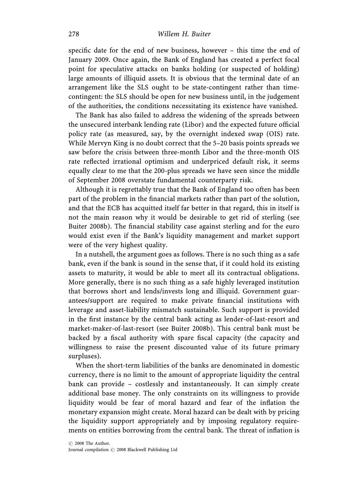specific date for the end of new business, however – this time the end of January 2009. Once again, the Bank of England has created a perfect focal point for speculative attacks on banks holding (or suspected of holding) large amounts of illiquid assets. It is obvious that the terminal date of an arrangement like the SLS ought to be state-contingent rather than timecontingent: the SLS should be open for new business until, in the judgement of the authorities, the conditions necessitating its existence have vanished.

The Bank has also failed to address the widening of the spreads between the unsecured interbank lending rate (Libor) and the expected future official policy rate (as measured, say, by the overnight indexed swap (OIS) rate. While Mervyn King is no doubt correct that the 5–20 basis points spreads we saw before the crisis between three-month Libor and the three-month OIS rate reflected irrational optimism and underpriced default risk, it seems equally clear to me that the 200-plus spreads we have seen since the middle of September 2008 overstate fundamental counterparty risk.

Although it is regrettably true that the Bank of England too often has been part of the problem in the financial markets rather than part of the solution, and that the ECB has acquitted itself far better in that regard, this in itself is not the main reason why it would be desirable to get rid of sterling (see Buiter 2008b). The financial stability case against sterling and for the euro would exist even if the Bank's liquidity management and market support were of the very highest quality.

In a nutshell, the argument goes as follows. There is no such thing as a safe bank, even if the bank is sound in the sense that, if it could hold its existing assets to maturity, it would be able to meet all its contractual obligations. More generally, there is no such thing as a safe highly leveraged institution that borrows short and lends/invests long and illiquid. Government guarantees/support are required to make private financial institutions with leverage and asset-liability mismatch sustainable. Such support is provided in the first instance by the central bank acting as lender-of-last-resort and market-maker-of-last-resort (see Buiter 2008b). This central bank must be backed by a fiscal authority with spare fiscal capacity (the capacity and willingness to raise the present discounted value of its future primary surpluses).

When the short-term liabilities of the banks are denominated in domestic currency, there is no limit to the amount of appropriate liquidity the central bank can provide – costlessly and instantaneously. It can simply create additional base money. The only constraints on its willingness to provide liquidity would be fear of moral hazard and fear of the inflation the monetary expansion might create. Moral hazard can be dealt with by pricing the liquidity support appropriately and by imposing regulatory requirements on entities borrowing from the central bank. The threat of inflation is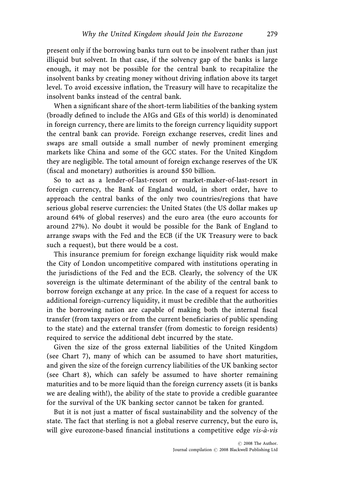present only if the borrowing banks turn out to be insolvent rather than just illiquid but solvent. In that case, if the solvency gap of the banks is large enough, it may not be possible for the central bank to recapitalize the insolvent banks by creating money without driving inflation above its target level. To avoid excessive inflation, the Treasury will have to recapitalize the insolvent banks instead of the central bank.

When a significant share of the short-term liabilities of the banking system (broadly defined to include the AIGs and GEs of this world) is denominated in foreign currency, there are limits to the foreign currency liquidity support the central bank can provide. Foreign exchange reserves, credit lines and swaps are small outside a small number of newly prominent emerging markets like China and some of the GCC states. For the United Kingdom they are negligible. The total amount of foreign exchange reserves of the UK (fiscal and monetary) authorities is around \$50 billion.

So to act as a lender-of-last-resort or market-maker-of-last-resort in foreign currency, the Bank of England would, in short order, have to approach the central banks of the only two countries/regions that have serious global reserve currencies: the United States (the US dollar makes up around 64% of global reserves) and the euro area (the euro accounts for around 27%). No doubt it would be possible for the Bank of England to arrange swaps with the Fed and the ECB (if the UK Treasury were to back such a request), but there would be a cost.

This insurance premium for foreign exchange liquidity risk would make the City of London uncompetitive compared with institutions operating in the jurisdictions of the Fed and the ECB. Clearly, the solvency of the UK sovereign is the ultimate determinant of the ability of the central bank to borrow foreign exchange at any price. In the case of a request for access to additional foreign-currency liquidity, it must be credible that the authorities in the borrowing nation are capable of making both the internal fiscal transfer (from taxpayers or from the current beneficiaries of public spending to the state) and the external transfer (from domestic to foreign residents) required to service the additional debt incurred by the state.

Given the size of the gross external liabilities of the United Kingdom (see Chart 7), many of which can be assumed to have short maturities, and given the size of the foreign currency liabilities of the UK banking sector (see Chart 8), which can safely be assumed to have shorter remaining maturities and to be more liquid than the foreign currency assets (it is banks we are dealing with!), the ability of the state to provide a credible guarantee for the survival of the UK banking sector cannot be taken for granted.

But it is not just a matter of fiscal sustainability and the solvency of the state. The fact that sterling is not a global reserve currency, but the euro is, will give eurozone-based financial institutions a competitive edge vis-à-vis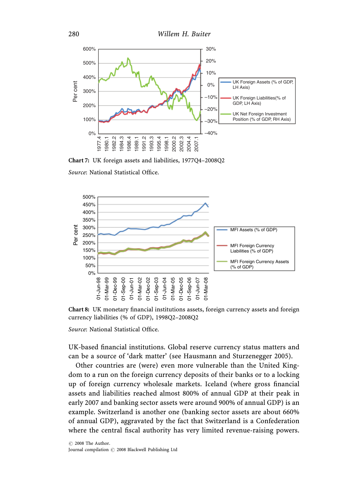280 Willem H. Buiter



Chart 7: UK foreign assets and liabilities, 1977Q4–2008Q2

Source: National Statistical Office.



Chart 8: UK monetary financial institutions assets, foreign currency assets and foreign currency liabilities (% of GDP), 1998Q2–2008Q2

Source: National Statistical Office.

UK-based financial institutions. Global reserve currency status matters and can be a source of 'dark matter' (see Hausmann and Sturzenegger 2005).

Other countries are (were) even more vulnerable than the United Kingdom to a run on the foreign currency deposits of their banks or to a locking up of foreign currency wholesale markets. Iceland (where gross financial assets and liabilities reached almost 800% of annual GDP at their peak in early 2007 and banking sector assets were around 900% of annual GDP) is an example. Switzerland is another one (banking sector assets are about 660% of annual GDP), aggravated by the fact that Switzerland is a Confederation where the central fiscal authority has very limited revenue-raising powers.

 $\odot$  2008 The Author. Journal compilation  $\odot$  2008 Blackwell Publishing Ltd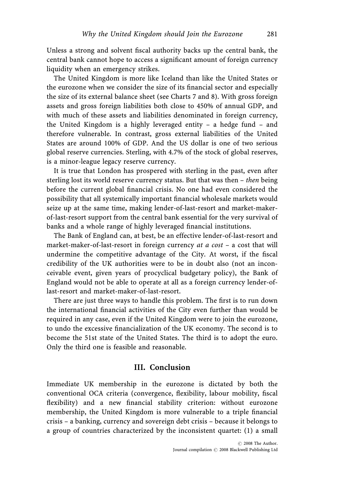Unless a strong and solvent fiscal authority backs up the central bank, the central bank cannot hope to access a significant amount of foreign currency liquidity when an emergency strikes.

The United Kingdom is more like Iceland than like the United States or the eurozone when we consider the size of its financial sector and especially the size of its external balance sheet (see Charts 7 and 8). With gross foreign assets and gross foreign liabilities both close to 450% of annual GDP, and with much of these assets and liabilities denominated in foreign currency, the United Kingdom is a highly leveraged entity – a hedge fund – and therefore vulnerable. In contrast, gross external liabilities of the United States are around 100% of GDP. And the US dollar is one of two serious global reserve currencies. Sterling, with 4.7% of the stock of global reserves, is a minor-league legacy reserve currency.

It is true that London has prospered with sterling in the past, even after sterling lost its world reserve currency status. But that was then – then being before the current global financial crisis. No one had even considered the possibility that all systemically important financial wholesale markets would seize up at the same time, making lender-of-last-resort and market-makerof-last-resort support from the central bank essential for the very survival of banks and a whole range of highly leveraged financial institutions.

The Bank of England can, at best, be an effective lender-of-last-resort and market-maker-of-last-resort in foreign currency at a cost – a cost that will undermine the competitive advantage of the City. At worst, if the fiscal credibility of the UK authorities were to be in doubt also (not an inconceivable event, given years of procyclical budgetary policy), the Bank of England would not be able to operate at all as a foreign currency lender-oflast-resort and market-maker-of-last-resort.

There are just three ways to handle this problem. The first is to run down the international financial activities of the City even further than would be required in any case, even if the United Kingdom were to join the eurozone, to undo the excessive financialization of the UK economy. The second is to become the 51st state of the United States. The third is to adopt the euro. Only the third one is feasible and reasonable.

#### III. Conclusion

Immediate UK membership in the eurozone is dictated by both the conventional OCA criteria (convergence, flexibility, labour mobility, fiscal flexibility) and a new financial stability criterion: without eurozone membership, the United Kingdom is more vulnerable to a triple financial crisis – a banking, currency and sovereign debt crisis – because it belongs to a group of countries characterized by the inconsistent quartet: (1) a small